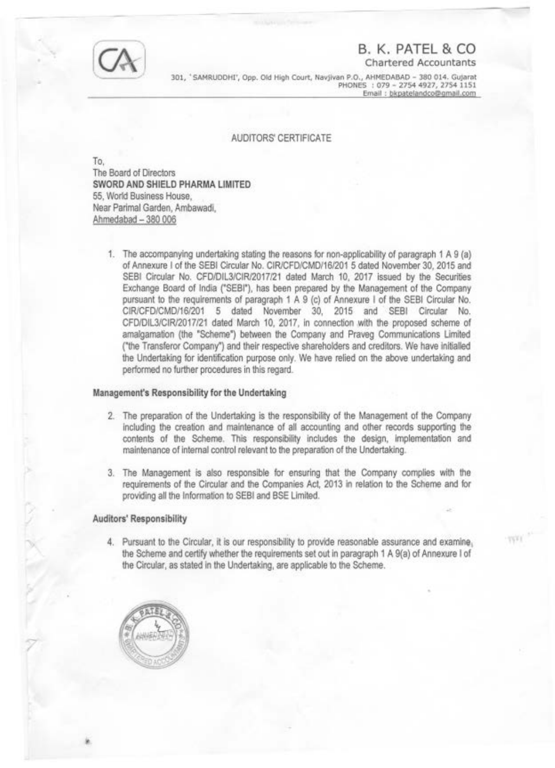

# **B. K. PATEL & CO**

Chartered Accountants

TVO

301, 'SAMRUDDHI', Opp. Old High Court, Navjivan P.O., AHMEDABAD - 380 014. Gujarat PHONES : 079- 2754 4927, 2754 1151 Email : bkpatelandco@gmail.com

## AUDITORS' CERTIFICATE

To, The Board of Directors **SWORD AND SHIELD PHARMA LIMITED**  55, World Business House, Near Parimal Garden, Ambawadi, Ahmedabad - 380 006

1. The accompanying undertaking stating the reasons for non-applicability of paragraph 1 A 9 (a) of Annexure I of the SEBI Circular No. CIR/CFD/CMD/16/201 5 dated November 30, 2015 and SEBI Circular No. CFD/DIL3/CIR/2017/21 dated March 10, 2017 issued by the Securities Exchange Board of India ("SEBI"), has been prepared by the Management of the Company pursuant to the requirements of paragraph 1 A 9 (c) of Annexure I of the SEBI Circular No. CIR/CFD/CMD/16/201 5 dated November 30, 2015 and SEBI Circular No. CFD/DIL3/CIR/2017/21 dated March 10, 2017, in connection with the proposed scheme of amalgamation (the "Scheme") between the Company and Praveg Communications Limited ("the Transferor Company") and their respective shareholders and creditors. We have initialled the Undertaking for identification purpose only. We have relied on the above undertaking and performed no further procedures in this regard.

### **Management's Responsibility for the Undertaking**

- 2. The preparation of the Undertaking is the responsibility of the Management of the Company including the creation and maintenance of all accounting and other records supporting the contents of the Scheme. This responsibility includes the design, implementation and maintenance of internal control relevant to the preparation of the Undertaking.
- 3. The Management is also responsible for ensuring that the Company complies with the requirements of the Circular and the Companies Act, 2013 in relation to the Scheme and for providing all the Information to SEBI and BSE Limited.

#### **Auditors' Responsibility**

4. Pursuant to the Circular, it is our responsibility to provide reasonable assurance and examine, the Scheme and certify whether the requirements set out in paragraph 1 A 9(a) of Annexure I of the Circular, as stated in the Undertaking, are applicable to the Scheme.

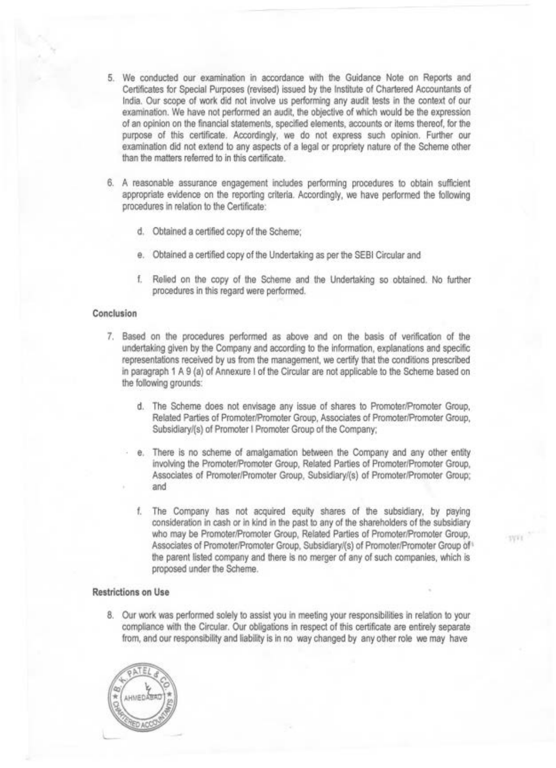- 5. We conducted our examination in accordance with the Guidance Note on Reports and Certificates for Special Purposes (revised) issued by the Institute of Chartered Accountants of India. Our scope of work did not involve us performing any audit tests in the context of our examination. We have not performed an audit, the objective of which would be the expression of an opinion on the financial statements, specified elements, accounts or items thereof, for the purpose of this certificate. Accordingly, we do not express such opinion. Further our examination did not extend to any aspects of a legal or propriety nature of the Scheme other than the matters referred to in this certificate.
- 6. A reasonable assurance engagement includes performing procedures to obtain sufficient appropriate evidence on the reporting criteria. Accordingly, we have performed the following procedures in relation to the Certificate:
	- d. Obtained a certified copy of the Scheme;
	- e. Obtained a certified copy of the Undertaking as per the SEBI Circular and
	- f. Relied on the copy of the Scheme and the Undertaking so obtained. No further procedures in this regard were performed.

## **Conclusion**

- 7. Based on the procedures performed as above and on the basis of verification of the undertaking given by the Company and according to the information, explanations and specific representations received by us from the management, we certify that the conditions prescribed in paragraph 1 A 9 (a) of Annexure I of the Circular are not applicable to the Scheme based on the following grounds:
	- d. The Scheme does not envisage any issue of shares to Promoter/Promoter Group, Related Parties of Promoter/Promoter Group, Associates of Promoter/Promoter Group, Subsidiary/(s) of Promoter I Promoter Group of the Company;
	- e. There is no scheme of amalgamation between the Company and any other entity involving the Promoter/Promoter Group, Related Parties of Promoter/Promoter Group, Associates of Promoter/Promoter Group, Subsidiary/(s) of Promoter/Promoter Group; and
	- f. The Company has not acquired equity shares of the subsidiary, by paying consideration in cash or in kind in the past to any of the shareholders of the subsidiary who may be Promoter/Promoter Group, Related Parties of Promoter/Promoter Group, Associates of Promoter/Promoter Group, Subsidiary/(s) of Promoter/Promoter Group of 1 the parent listed company and there is no merger of any of such companies, which is proposed under the Scheme.

**IVVI** 

### **Restrictions on Use**

8. Our work was performed solely to assist you in meeting your responsibilities in relation to your compliance with the Circular. Our obligations in respect of this certificate are entirely separate from, and our responsibility and liability is in no way changed by any other role we may have

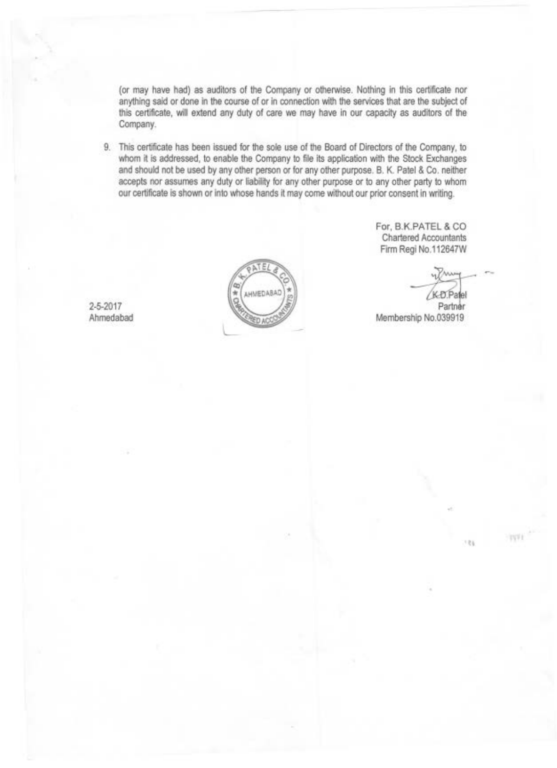(or may have had) as auditors of the Company or otherwise. Nothing in this certificate nor anything said or done in the course of or in connection with the services that are the subject of this certificate, will extend any duty of care we may have in our capacity as auditors of the Company.

9. This certificate has been issued for the sole use of the Board of Directors of the Company, to whom it is addressed, to enable the Company to file its application with the Stock Exchanges and should not be used by any other person or for any other purpose. B. K. Patel & Co. neither accepts nor assumes any duty or liability for any other purpose or to any other party to whom our certificate is shown or into whose hands it may come without our prior consent in writing.



For, B.K.PATEL & CO Chartered Accountants Firm Regi No.112647W

ed Accountants<br>gi No.112647W<br>Web.Patel Partner Membership No.039919

**TIVE** 

186

2-5-2017 Ahmedabad